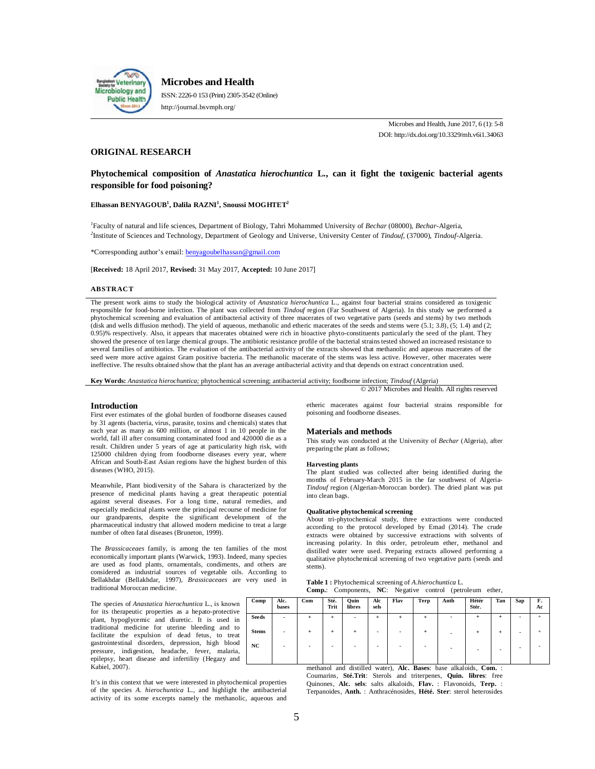

**Microbes and Health** ISSN: 2226-0 153 (Print) 2305-3542 (Online) http://journal.bsvmph.org/

> Microbes and Health, June 2017, 6 (1): 5-8 DOI: http://dx.doi.org/10.3329/mh.v6i1.34063

# **ORIGINAL RESEARCH**

# **Phytochemical composition of** *Anastatica hierochuntica* **L., can it fight the toxigenic bacterial agents responsible for food poisoning?**

## **Elhassan BENYAGOUB<sup>1</sup> , Dalila RAZNI<sup>1</sup> , Snoussi MOGHTET<sup>2</sup>**

*1* Faculty of natural and life sciences, Department of Biology, Tahri Mohammed University of *Bechar* (08000), *Bechar*-Algeria, *2* Institute of Sciences and Technology, Department of Geology and Universe, University Center of *Tindouf*, (37000), *Tindouf*-Algeria.

\*Corresponding author's email: benyagoubelhassan@gmail.com

[**Received:** 18 April 2017, **Revised:** 31 May 2017, **Accepted:** 10 June 2017]

### **ABSTRACT**

The present work aims to study the biological activity of *Anastatica hierochuntica* L., against four bacterial strains considered as toxigenic responsible for food-borne infection. The plant was collected from *Tindouf* region (Far Southwest of Algeria). In this study we performed a phytochemical screening and evaluation of antibacterial activity of three macerates of two vegetative parts (seeds and stems) by two methods (disk and wells diffusion method). The yield of aqueous, methanolic and etheric macerates of the seeds and stems were (5.1; 3.8), (5; 1.4) and (2; 0.95)% respectively. Also, it appears that macerates obtained were rich in bioactive phyto-constituents particularly the seed of the plant. They showed the presence of ten large chemical groups. The antibiotic resistance profile of the bacterial strains tested showed an increased resistance to several families of antibiotics. The evaluation of the antibacterial activity of the extracts showed that methanolic and aqueous macerates of the seed were more active against Gram positive bacteria. The methanolic macerate of the stems was less active. However, other macerates were ineffective. The results obtained show that the plant has an average antibacterial activity and that depends on extract concentration used.

**Key Words:** *Anastatica hierochuntica;* phytochemical screening; antibacterial activity; foodborne infection; *Tindouf* (Algeria)

#### **Introduction**

First ever estimates of the global burden of foodborne diseases caused by 31 agents (bacteria, virus, parasite, toxins and chemicals) states that each year as many as 600 million, or almost 1 in 10 people in the world, fall ill after consuming contaminated food and 420000 die as a result. Children under 5 years of age at particularity high risk, with 125000 children dying from foodborne diseases every year, where African and South-East Asian regions have the highest burden of this diseases (WHO, 2015).

Meanwhile, Plant biodiversity of the Sahara is characterized by the presence of medicinal plants having a great therapeutic potential against several diseases. For a long time, natural remedies, and especially medicinal plants were the principal recourse of medicine for our grandparents, despite the significant development of the pharmaceutical industry that allowed modern medicine to treat a large number of often fatal diseases (Bruneton, 1999).

The *Brassicaceaes* family, is among the ten families of the most economically important plants (Warwick, 1993). Indeed, many species are used as food plants, ornamentals, condiments, and others are considered as industrial sources of vegetable oils. According to Bellakhdar (Bellakhdar, 1997), *Brassicaceaes* are very used in traditional Moroccan medicine.

The species of *Anastatica hierochuntica* L., is known for its therapeutic properties as a hepato-protective plant, hypoglycemic and diuretic. It is used in traditional medicine for uterine bleeding and to facilitate the expulsion of dead fetus, to treat gastrointestinal disorders, depression, high blood pressure, indigestion, headache, fever, malaria, epilepsy, heart disease and infertility (Hegazy and Kabiel, 2007).

It's in this context that we were interested in phytochemical properties of the species *A. hierochuntica* L., and highlight the antibacterial activity of its some excerpts namely the methanolic, aqueous and etheric macerates against four bacterial strains responsible for poisoning and foodborne diseases.

© 2017 Microbes and Health. All rights reserved

#### **Materials and methods**

This study was conducted at the University of *Bechar* (Algeria), after preparing the plant as follows;

# **Harvesting plants**

The plant studied was collected after being identified during the months of February-March 2015 in the far southwest of Algeria-*Tindouf* region (Algerian-Moroccan border). The dried plant was put into clean bags.

### **Qualitative phytochemical screening**

About tri-phytochemical study, three extractions were conducted according to the protocol developed by Emad (2014). The crude extracts were obtained by successive extractions with solvents of increasing polarity. In this order, petroleum ether, methanol and distilled water were used. Preparing extracts allowed performing a qualitative phytochemical screening of two vegetative parts (seeds and stems).

**Table 1 :** Phytochemical screening of *A.hierochuntica* L. **Comp.**: Components, **NC**: Negative control (petroleum ether,

| Comp         | Alc.<br>bases            | Com   | Sté.<br>Trit             | Quin<br>libres | Alc<br>sels | Flav                     | Terp | Anth | Hétér<br>Stér.           | Tan | Sap | F.<br>Ac |
|--------------|--------------------------|-------|--------------------------|----------------|-------------|--------------------------|------|------|--------------------------|-----|-----|----------|
| Seeds        | $\overline{\phantom{a}}$ | $\pm$ | $\ddot{}$                |                | $\ddot{}$   | $\ddot{}$                | ÷    |      | $\overline{+}$           | +   | ٠   | ÷        |
| <b>Stems</b> | $\blacksquare$           | $\pm$ | $\ddot{}$                | ÷              |             | $\overline{\phantom{0}}$ | ÷    |      | ÷                        | ÷   | -   |          |
| NC           | ۰                        |       | $\overline{\phantom{0}}$ |                |             | -                        |      |      | $\overline{\phantom{0}}$ | ۰   | -   |          |
|              |                          |       |                          |                |             |                          |      |      |                          |     |     |          |

methanol and distilled water), **Alc. Bases**: base alkaloids, **Com.** : Coumarins, **Sté.Trit**: Sterols and triterpenes, **Quin. libres**: free Quinones, **Alc. sels**: salts alkaloids, **Flav.** : Flavonoids, **Terp.** : Terpanoides, **Anth.** : Anthracénosides, **Hété. Ster**: sterol heterosides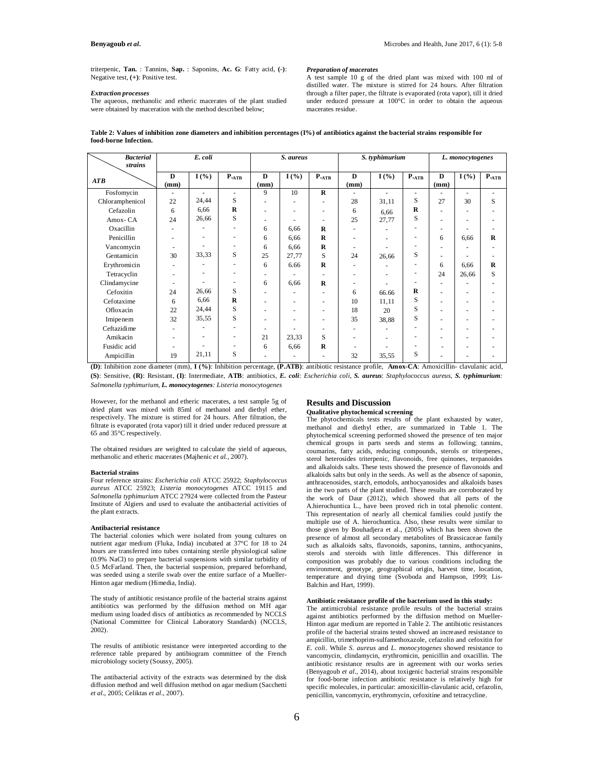triterpenic, **Tan.** : Tannins, **Sap.** : Saponins, **Ac. G**: Fatty acid, **(-)**: Negative test, **(+)**: Positive test.

## *Extraction processes*

The aqueous, methanolic and etheric macerates of the plant studied were obtained by maceration with the method described below;

*Preparation of macerates*

A test sample 10 g of the dried plant was mixed with 100 ml of distilled water. The mixture is stirred for 24 hours. After filtration through a filter paper, the filtrate is evaporated (rota vapor), till it dried under reduced pressure at 100°C in order to obtain the aqueous macerates residue.

**Table 2: Values of inhibition zone diameters and inhibition percentages (I%) of antibiotics against the bacterial strains responsible for food-borne Infection.**

| <b>Bacterial</b> |                          | E. coli |                 |                 | S. aureus                |                          |      | S. typhimurium |                  |      | L. monocytogenes |                 |
|------------------|--------------------------|---------|-----------------|-----------------|--------------------------|--------------------------|------|----------------|------------------|------|------------------|-----------------|
| strains          |                          |         |                 |                 |                          |                          |      |                |                  |      |                  |                 |
| ATB              | D                        | I(%)    | $P_{\cdot ATB}$ | $\bf{D}$        | $I($ %)                  | $P_{\cdot ATB}$          | D    | $I($ %)        | $P_{\text{ATB}}$ | D    | $I($ %)          | $P_{\cdot ATB}$ |
|                  | (mm)                     |         |                 | $(\mathbf{mm})$ |                          |                          | (mm) |                |                  | (mm) |                  |                 |
| Fosfomycin       | $\overline{\phantom{a}}$ |         | $\sim$          | 9               | 10                       | $\bf{R}$                 |      |                |                  |      |                  |                 |
| Chloramphenicol  | 22                       | 24,44   | S               |                 | ٠                        | $\overline{\phantom{a}}$ | 28   | 31,11          | S                | 27   | 30               | S               |
| Cefazolin        | 6                        | 6,66    | R               |                 | $\overline{\phantom{a}}$ | ۰                        | 6    | 6,66           | R                |      | ٠                |                 |
| Amox-CA          | 24                       | 26,66   | S               |                 |                          | ۰                        | 25   | 27,77          | S                | ٠    | ٠                |                 |
| Oxacillin        |                          |         | ٠               | 6               | 6,66                     | $\bf{R}$                 |      |                |                  | ٠    |                  |                 |
| Penicillin       | ٠                        |         | ٠               | 6               | 6,66                     | $\bf{R}$                 |      |                |                  | 6    | 6.66             | $\bf{R}$        |
| Vancomycin       |                          |         |                 | 6               | 6,66                     | R                        |      |                |                  | ٠    | ٠                |                 |
| Gentamicin       | 30                       | 33,33   | S               | 25              | 27,77                    | S                        | 24   | 26,66          | S                | ٠    | ٠                |                 |
| Erythromicin     |                          |         | ٠               | 6               | 6.66                     | $\bf{R}$                 |      |                |                  | 6    | 6.66             | $\mathbf R$     |
| Tetracyclin      |                          |         | ٠               |                 |                          |                          |      |                | ٠                | 24   | 26,66            | S               |
| Clindamycine     | $\overline{\phantom{a}}$ |         | ٠               | 6               | 6,66                     | $\mathbf R$              |      |                |                  | ٠    |                  |                 |
| Cefoxitin        | 24                       | 26,66   | S               |                 |                          |                          | 6    | 66.66          | R                | ٠    | ٠                |                 |
| Cefotaxime       | 6                        | 6,66    | $\mathbf R$     |                 | ٠                        | ۰                        | 10   | 11,11          | S                | ٠    | ٠                |                 |
| Ofloxacin        | 22                       | 24,44   | S               |                 | $\overline{\phantom{a}}$ | ۰                        | 18   | 20             | S                |      | ٠                |                 |
| Imipenem         | 32                       | 35,55   | S               |                 | ٠                        | ۰                        | 35   | 38,88          | S                | ٠    | ٠                |                 |
| Ceftazidime      |                          |         | ٠               |                 |                          | ٠                        |      |                |                  | ٠    | ٠                |                 |
| Amikacin         |                          |         | ٠               | 21              | 23,33                    | S                        |      |                |                  | ۰    |                  |                 |
| Fusidic acid     |                          |         | ٠               | 6               | 6,66                     | $\bf{R}$                 |      |                |                  | ٠    | ٠                |                 |
| Ampicillin       | 19                       | 21,11   | S               |                 | ٠                        | ۰                        | 32   | 35,55          | S                | ٠    | ۰                |                 |

**(D)**: Inhibition zone diameter (mm), **I (%)**: Inhibition percentage, **(P.ATB)**: antibiotic resistance profile, **Amox-CA**: Amoxicillin- clavulanic acid, **(S)**: Sensitive, **(R)**: Resistant, **(I)**: Intermediate, **ATB**: antibiotics, *E. coli*: *Escherichia coli*, *S. aureus*: *Staphylococcus aureus*, *S. typhimurium: Salmonella typhimurium, L. monocytogenes: Listeria monocytogenes*

However, for the methanol and etheric macerates, a test sample 5g of dried plant was mixed with 85ml of methanol and diethyl ether, respectively. The mixture is stirred for 24 hours. After filtration, the filtrate is evaporated (rota vapor) till it dried under reduced pressure at 65 and 35°C respectively.

The obtained residues are weighted to calculate the yield of aqueous, methanolic and etheric macerates (Majhenic *et al.,* 2007).

#### **Bacterial strains**

Four reference strains: *Escherichia coli* ATCC 25922; *Staphylococcus aureus* ATCC 25923; *Listeria monocytogenes* ATCC 19115 and *Salmonella typhimurium* ATCC 27924 were collected from the Pasteur Institute of Algiers and used to evaluate the antibacterial activities of the plant extracts.

#### **Antibacterial resistance**

The bacterial colonies which were isolated from young cultures on nutrient agar medium (Fluka, India) incubated at 37°C for 18 to 24 hours are transferred into tubes containing sterile physiological saline (0.9% NaCl) to prepare bacterial suspensions with similar turbidity of 0.5 McFarland. Then, the bacterial suspension, prepared beforehand, was seeded using a sterile swab over the entire surface of a Mueller-Hinton agar medium (Himedia, India).

The study of antibiotic resistance profile of the bacterial strains against antibiotics was performed by the diffusion method on MH agar medium using loaded discs of antibiotics as recommended by NCCLS (National Committee for Clinical Laboratory Standards) (NCCLS, 2002).

The results of antibiotic resistance were interpreted according to the reference table prepared by antibiogram committee of the French microbiology society (Soussy, 2005).

The antibacterial activity of the extracts was determined by the disk diffusion method and well diffusion method on agar medium (Sacchetti *et al.,* 2005; Celiktas *et al.,* 2007).

# **Results and Discussion**

# **Qualitative phytochemical screening**

The phytochemicals tests results of the plant exhausted by water, methanol and diethyl ether, are summarized in Table 1. The phytochemical screening performed showed the presence of ten major chemical groups in parts seeds and stems as following; tannins, coumarins, fatty acids, reducing compounds, sterols or triterpenes, sterol heterosides triterpenic, flavonoids, free quinones, terpanoides and alkaloids salts. These tests showed the presence of flavonoids and alkaloids salts but only in the seeds. As well as the absence of saponin, anthracenosides, starch, emodols, anthocyanosides and alkaloids bases in the two parts of the plant studied. These results are corroborated by the work of Daur (2012), which showed that all parts of the A.hierochuntica L., have been proved rich in total phenolic content. This representation of nearly all chemical families could justify the multiple use of A. hierochuntica. Also, these results were similar to those given by Bouhadjera et al., (2005) which has been shown the presence of almost all secondary metabolites of Brassicaceae family such as alkaloids salts, flavonoids, saponins, tannins, anthocyanins, sterols and steroids with little differences. This difference in composition was probably due to various conditions including the environment, genotype, geographical origin, harvest time, location, temperature and drying time (Svoboda and Hampson, 1999; Lis-Balchin and Hart, 1999).

## **Antibiotic resistance profile of the bacterium used in this study:**

The antimicrobial resistance profile results of the bacterial strains against antibiotics performed by the diffusion method on Mueller-Hinton agar medium are reported in Table 2. The antibiotic resistances profile of the bacterial strains tested showed an increased resistance to ampicillin, trimethoprim-sulfamethoxazole, cefazolin and cefoxitin for *E. coli*. While *S. aureus* and *L. monocytogenes* showed resistance to vancomycin, clindamycin, erythromicin, penicillin and oxacillin. The antibiotic resistance results are in agreement with our works series (Benyagoub *et al.,* 2014), about toxigenic bacterial strains responsible for food-borne infection antibiotic resistance is relatively high for specific molecules, in particular: amoxicillin-clavulanic acid, cefazolin, penicillin, vancomycin, erythromycin, cefoxitine and tetracycline.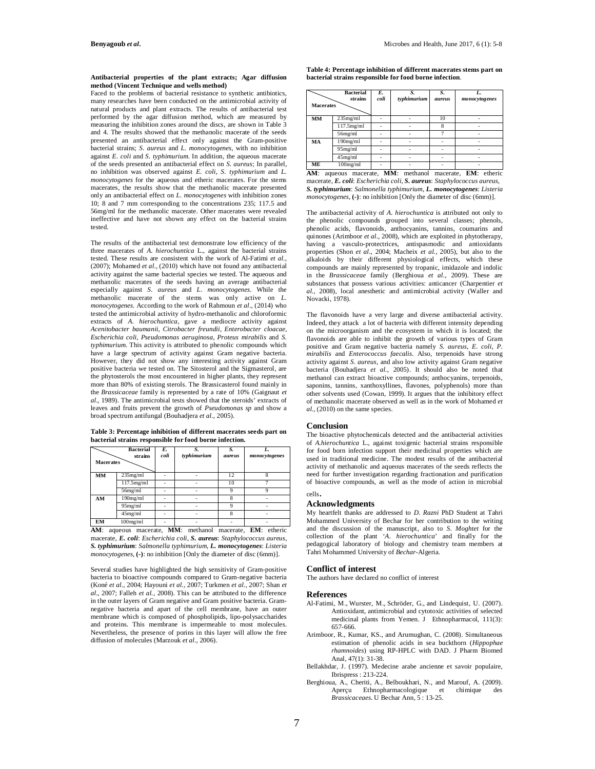#### **Antibacterial properties of the plant extracts; Agar diffusion method (Vincent Technique and wells method)**

Faced to the problems of bacterial resistance to synthetic antibiotics, many researches have been conducted on the antimicrobial activity of natural products and plant extracts. The results of antibacterial test performed by the agar diffusion method, which are measured by measuring the inhibition zones around the discs, are shown in Table 3 and 4. The results showed that the methanolic macerate of the seeds presented an antibacterial effect only against the Gram-positive bacterial strains; *S. aureus* and *L. monocytogenes*, with no inhibition against *E. coli* and *S. typhimurium*. In addition, the aqueous macerate of the seeds presented an antibacterial effect on *S. aureus*; In parallel, no inhibition was observed against *E. coli*, *S. typhimurium* and *L. monocytogenes* for the aqueous and etheric macerates. For the stems macerates, the results show that the methanolic macerate presented only an antibacterial effect on *L. monocytogenes* with inhibition zones 10; 8 and 7 mm corresponding to the concentrations 235; 117.5 and 56mg/ml for the methanolic macerate. Other macerates were revealed ineffective and have not shown any effect on the bacterial strains tested.

The results of the antibacterial test demonstrate low efficiency of the three macerates of *A. hierochuntica* L., against the bacterial strains tested. These results are consistent with the work of Al-Fatimi *et al.,* (2007); Mohamed *et al.,* (2010) which have not found any antibacterial activity against the same bacterial species we tested. The aqueous and methanolic macerates of the seeds having an average antibacterial especially against *S. aureus* and *L. monocytogenes*. While the methanolic macerate of the stems was only active on *L. monocytogenes*. According to the work of Rahmoun *et al.,* (2014) who tested the antimicrobial activity of hydro-methanolic and chloroformic extracts of *A. hierochuntica*, gave a mediocre activity against *Acenitobacter baumanii*, *Citrobacter freundii*, *Enterobacter cloacae*, *Escherichia coli*, *Pseudomonas aeruginosa*, *Proteus mirabilis* and *S. typhimurium*. This activity is attributed to phenolic compounds which have a large spectrum of activity against Gram negative bacteria. However, they did not show any interesting activity against Gram positive bacteria we tested on. The Sitosterol and the Sigmasterol, are the phytosterols the most encountered in higher plants, they represent more than 80% of existing sterols. The Brassicasterol found mainly in the *Brassicaceae* family is represented by a rate of 10% (Gaignaut *et al.,* 1989). The antimicrobial tests showed that the steroids' extracts of leaves and fruits prevent the growth of *Pseudomonas sp* and show a broad spectrum antifungal (Bouhadjera *et al.,* 2005).

**Table 3: Percentage inhibition of different macerates seeds part on bacterial strains responsible for food borne infection.**

| <b>Macerates</b> | <b>Bacterial</b><br>strains | E.<br>coli | S.<br>typhimurium | S.<br><i>aureus</i> | L.<br>monocytogenes |
|------------------|-----------------------------|------------|-------------------|---------------------|---------------------|
| MM               | $235$ mg/ml                 |            |                   | 12                  |                     |
|                  | $117.5$ mg/ml               |            |                   | 10                  |                     |
|                  | 56mg/ml                     |            |                   | Q                   | 9                   |
| AM               | $190$ mg/ml                 |            |                   | $\mathbf{\hat{z}}$  |                     |
|                  | 95mg/ml                     |            |                   | Q                   |                     |
|                  | $45$ mg/ml                  |            |                   | $\mathbf{\hat{z}}$  |                     |
| EМ               | $100$ mg/ml                 |            |                   |                     |                     |

**AM**: aqueous macerate, **MM**: methanol macerate, **EM**: etheric macerate, *E. coli*: *Escherichia coli*, *S. aureus*: *Staphylococcus aureus*, *S. typhimurium*: *Salmonella typhimurium*, *L. monocytogenes*: *Listeria monocytogenes*, **(-)**: no inhibition [Only the diameter of disc (6mm)].

Several studies have highlighted the high sensitivity of Gram-positive bacteria to bioactive compounds compared to Gram-negative bacteria (Koné *et al.,* 2004; Hayouni *et al.,* 2007; Turkmen *et al.,* 2007; Shan *et al.,* 2007; Falleh *et al.,* 2008). This can be attributed to the difference in the outer layers of Gram negative and Gram positive bacteria. Gramnegative bacteria and apart of the cell membrane, have an outer membrane which is composed of phospholipids, lipo-polysaccharides and proteins. This membrane is impermeable to most molecules. Nevertheless, the presence of porins in this layer will allow the free diffusion of molecules (Marzouk *et al.,* 2006).

**Table 4: Percentage inhibition of different macerates stems part on bacterial strains responsible for food borne infection**.

| <b>Macerates</b> | <b>Bacterial</b><br>strains | E.<br>coli | S.<br>typhimurium | S.<br>aureus | L.<br>monocytogenes |
|------------------|-----------------------------|------------|-------------------|--------------|---------------------|
| MM               | $235$ mg/ml                 |            |                   | 10           |                     |
|                  | 117.5mg/ml                  |            |                   | 8            |                     |
|                  | $56$ mg/ml                  |            |                   |              |                     |
| MA               | $190$ mg/ml                 |            |                   |              |                     |
|                  | 95mg/ml                     |            |                   |              |                     |
|                  | $45$ mg/ml                  |            |                   |              |                     |
| ME               | $100$ mg/ml                 |            |                   |              |                     |
| AM:              | macerate.<br>aqueous        |            | MM:<br>methanol   | macerate,    | $EM:$ etheric       |

macerate, *E. coli*: *Escherichia coli*, *S. aureus*: *Staphylococcus aureus*, *S. typhimurium*: *Salmonella typhimurium*, *L. monocytogenes*: *Listeria monocytogenes*, **(-)**: no inhibition [Only the diameter of disc (6mm)].

The antibacterial activity of *A. hierochuntica* is attributed not only to the phenolic compounds grouped into several classes; phenols, phenolic acids, flavonoids, anthocyanins, tannins, coumarins and quinones (Arimboor *et al.*, 2008), which are exploited in phytotherapy, having a vasculo-protectrices, antispasmodic and antioxidants properties (Shon *et al.,* 2004; Macheix *et al.,* 2005), but also to the alkaloids by their different physiological effects, which these compounds are mainly represented by tropanic, imidazole and indolic in the *Brassicaceae* family (Berghioua *et al.,* 2009). These are substances that possess various activities: anticancer (Charpentier *et al.,* 2008), local anesthetic and antimicrobial activity (Waller and Novacki, 1978).

The flavonoids have a very large and diverse antibacterial activity. Indeed, they attack a lot of bacteria with different intensity depending on the microorganism and the ecosystem in which it is located; the flavonoids are able to inhibit the growth of various types of Gram positive and Gram negative bacteria namely *S. aureus*, *E. coli*, *P. mirabilis* and *Enterococcus faecalis*. Also, terpenoids have strong activity against *S. aureus*, and also low activity against Gram negative bacteria (Bouhadjera *et al.,* 2005). It should also be noted that methanol can extract bioactive compounds; anthocyanins, terpenoids, saponins, tannins, xanthoxyllines, flavones, polyphenols) more than other solvents used (Cowan, 1999). It argues that the inhibitory effect of methanolic macerate observed as well as in the work of Mohamed *et al.,* (2010) on the same species.

# **Conclusion**

The bioactive phytochemicals detected and the antibacterial activities of *A.hierochuntica* L., against toxigenic bacterial strains responsible for food born infection support their medicinal properties which are used in traditional medicine. The modest results of the antibacterial activity of methanolic and aqueous macerates of the seeds reflects the need for further investigation regarding fractionation and purification of bioactive compounds, as well as the mode of action in microbial cells.

# **Acknowledgments**

My heartfelt thanks are addressed to *D. Razni* PhD Student at Tahri Mohammed University of Bechar for her contribution to the writing and the discussion of the manuscript, also to *S. Moghtet* for the collection of the plant '*A. hierochuntica*' and finally for the pedagogical laboratory of biology and chemistry team members at Tahri Mohammed University of *Bechar*-Algeria.

### **Conflict of interest**

The authors have declared no conflict of interest

### **References**

- Al-Fatimi, M., Wurster, M., Schröder, G., and Lindequist, U. (2007). Antioxidant, antimicrobial and cytotoxic activities of selected medicinal plants from Yemen. J Ethnopharmacol, 111(3): 657-666.
- Arimboor, R., Kumar, KS., and Arumughan, C. (2008). Simultaneous estimation of phenolic acids in sea buckthorn (*Hippophae rhamnoides*) using RP-HPLC with DAD. J Pharm Biomed Anal, 47(1): 31-38.
- Bellakhdar, J. (1997). Medecine arabe ancienne et savoir populaire, Ibrispress : 213-224.
- Berghioua, A., Cheriti, A., Belboukhari, N., and Marouf, A. (2009). Aperçu Ethnopharmacologique et chimique des *Brassicaceaes*. U Bechar Ann, 5 : 13-25.